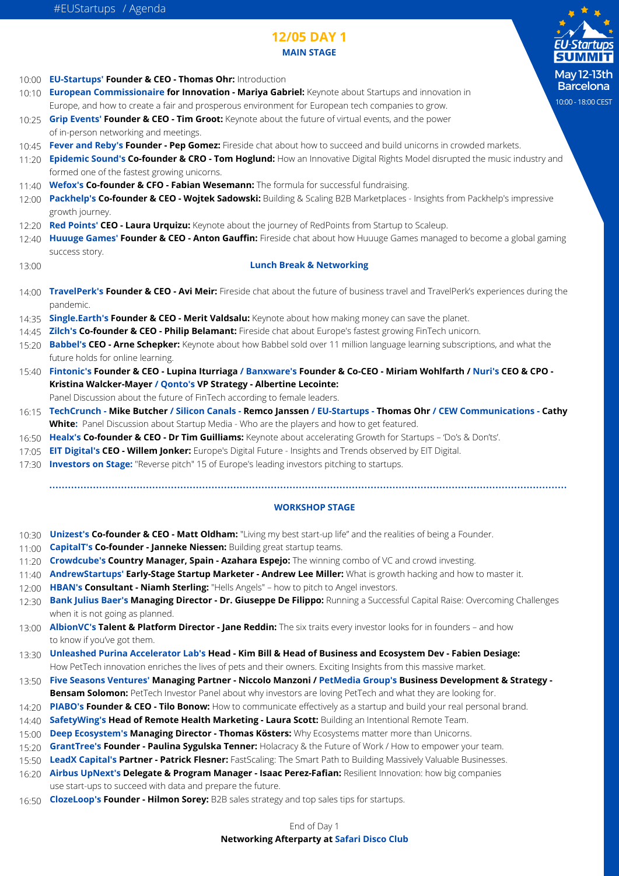# **12/05 DAY 1 MAIN STAGE**

| <b>IVIAIIV STAUL</b><br><u>ы</u>                                                                                                                                                                                                                                                                 |
|--------------------------------------------------------------------------------------------------------------------------------------------------------------------------------------------------------------------------------------------------------------------------------------------------|
| M<br>10:00 EU-Startups' Founder & CEO - Thomas Ohr: Introduction                                                                                                                                                                                                                                 |
| B<br>European Commissionaire for Innovation - Mariya Gabriel: Keynote about Startups and innovation in<br>10:10                                                                                                                                                                                  |
| 10:0<br>Europe, and how to create a fair and prosperous environment for European tech companies to grow.                                                                                                                                                                                         |
| Grip Events' Founder & CEO - Tim Groot: Keynote about the future of virtual events, and the power<br>10:25<br>of in-person networking and meetings.                                                                                                                                              |
| 10:45 Fever and Reby's Founder - Pep Gomez: Fireside chat about how to succeed and build unicorns in crowded markets.<br>Epidemic Sound's Co-founder & CRO - Tom Hoglund: How an Innovative Digital Rights Model disrupted the music industry and<br>formed one of the fastest growing unicorns. |
| 11:40 Wefox's Co-founder & CFO - Fabian Wesemann: The formula for successful fundraising.                                                                                                                                                                                                        |
| Packhelp's Co-founder & CEO - Wojtek Sadowski: Building & Scaling B2B Marketplaces - Insights from Packhelp's impressive<br>growth journey.                                                                                                                                                      |
| Red Points' CEO - Laura Urquizu: Keynote about the journey of RedPoints from Startup to Scaleup.                                                                                                                                                                                                 |
| 12:40 Huuuge Games' Founder & CEO - Anton Gauffin: Fireside chat about how Huuuge Games managed to become a global gaming<br>success story.                                                                                                                                                      |
| <b>Lunch Break &amp; Networking</b>                                                                                                                                                                                                                                                              |
| 14:00 TravelPerk's Founder & CEO - Avi Meir: Fireside chat about the future of business travel and TravelPerk's experiences during the<br>pandemic.                                                                                                                                              |
| Single.Earth's Founder & CEO - Merit Valdsalu: Keynote about how making money can save the planet.                                                                                                                                                                                               |
| Zilch's Co-founder & CEO - Philip Belamant: Fireside chat about Europe's fastest growing FinTech unicorn.                                                                                                                                                                                        |
| Babbel's CEO - Arne Schepker: Keynote about how Babbel sold over 11 million language learning subscriptions, and what the<br>future holds for online learning.                                                                                                                                   |
| Fintonic's Founder & CEO - Lupina Iturriaga / Banxware's Founder & Co-CEO - Miriam Wohlfarth / Nuri's CEO & CPO -                                                                                                                                                                                |
| Kristina Walcker-Mayer / Qonto's VP Strategy - Albertine Lecointe:                                                                                                                                                                                                                               |
| Panel Discussion about the future of FinTech according to female leaders.                                                                                                                                                                                                                        |
| TechCrunch - Mike Butcher / Silicon Canals - Remco Janssen / EU-Startups - Thomas Ohr / CEW Communications - Cathy                                                                                                                                                                               |
| White: Panel Discussion about Startup Media - Who are the players and how to get featured.                                                                                                                                                                                                       |
| Healx's Co-founder & CEO - Dr Tim Guilliams: Keynote about accelerating Growth for Startups - 'Do's & Don'ts'.                                                                                                                                                                                   |
| EIT Digital's CEO - Willem Jonker: Europe's Digital Future - Insights and Trends observed by EIT Digital.                                                                                                                                                                                        |
| <b>Investors on Stage:</b> "Reverse pitch" 15 of Europe's leading investors pitching to startups.                                                                                                                                                                                                |
| <b>WORKSHOP STAGE</b>                                                                                                                                                                                                                                                                            |
| 10:30 Unizest's Co-founder & CEO - Matt Oldham: "Living my best start-up life" and the realities of being a Founder.                                                                                                                                                                             |
|                                                                                                                                                                                                                                                                                                  |

- **CapitalT's Co-founder Janneke Niessen:** Building great startup teams. 11:00
- **Crowdcube's Country Manager, Spain Azahara Espejo:** The winning combo of VC and crowd investing. 11:20
- **AndrewStartups' Early-Stage Startup Marketer Andrew Lee Miller:** What is growth hacking and how to master it. 11:40
- **HBAN's Consultant Niamh Sterling:** "Hells Angels" how to pitch to Angel investors. 12:00
- **Bank Julius Baer's Managing Director Dr. Giuseppe De Filippo:** Running a Successful Capital Raise: Overcoming Challenges 12:30 when it is not going as planned.
- **AlbionVC's Talent & Platform Director Jane Reddin:** The six traits every investor looks for in founders and how 13:00 to know if you've got them.
- **Unleashed Purina Accelerator Lab's Head Kim Bill & Head of Business and Ecosystem Dev Fabien Desiage:**  13:30 How PetTech innovation enriches the lives of pets and their owners. Exciting Insights from this massive market.
- **Five Seasons Ventures' Managing Partner Niccolo Manzoni / PetMedia Group's Business Development & Strategy -** 13:50
- **Bensam Solomon:** PetTech Investor Panel about why investors are loving PetTech and what they are looking for.
- **PIABO's Founder & CEO Tilo Bonow:** How to communicate effectively as a startup and build your real personal brand. 14:20 14:40 **SafetyWing's Head of Remote Health Marketing - Laura Scott:** Building an Intentional Remote Team.
- **Deep Ecosystem's Managing Director Thomas Kösters:** Why Ecosystems matter more than Unicorns. 15:00
- **GrantTree's Founder Paulina Sygulska Tenner:** Holacracy & the Future of Work / How to empower your team. 15:20
- **LeadX Capital's Partner Patrick Flesner:** FastScaling: The Smart Path to Building Massively Valuable Businesses. 15:50
- **Airbus UpNext's Delegate & Program Manager Isaac Perez-Fafian:** Resilient Innovation: how big companies 16:20 use start-ups to succeed with data and prepare the future.
- **ClozeLoop's Founder Hilmon Sorey:** B2B sales strategy and top sales tips for startups. 16:50

#### End of Day 1

## **Networking Afterparty at Safari Disco Club**

May 12-13th Barcelona 10:00 - 18:00 CEST